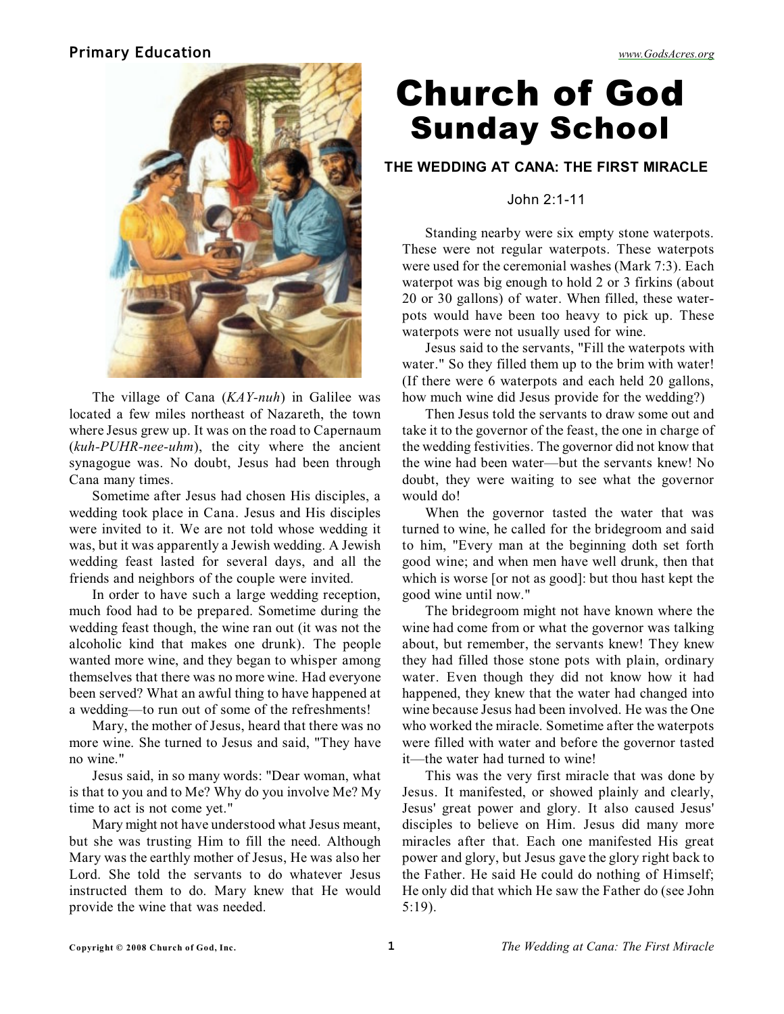# **Primary Education** *[www.GodsAcres.org](http://godsacres.org)*



The village of Cana (*KAY-nuh*) in Galilee was located a few miles northeast of Nazareth, the town where Jesus grew up. It was on the road to Capernaum (*kuh-PUHR-nee-uhm*), the city where the ancient synagogue was. No doubt, Jesus had been through Cana many times.

Sometime after Jesus had chosen His disciples, a wedding took place in Cana. Jesus and His disciples were invited to it. We are not told whose wedding it was, but it was apparently a Jewish wedding. A Jewish wedding feast lasted for several days, and all the friends and neighbors of the couple were invited.

In order to have such a large wedding reception, much food had to be prepared. Sometime during the wedding feast though, the wine ran out (it was not the alcoholic kind that makes one drunk). The people wanted more wine, and they began to whisper among themselves that there was no more wine. Had everyone been served? What an awful thing to have happened at a wedding—to run out of some of the refreshments!

Mary, the mother of Jesus, heard that there was no more wine. She turned to Jesus and said, "They have no wine."

Jesus said, in so many words: "Dear woman, what is that to you and to Me? Why do you involve Me? My time to act is not come yet."

Mary might not have understood what Jesus meant, but she was trusting Him to fill the need. Although Mary was the earthly mother of Jesus, He was also her Lord. She told the servants to do whatever Jesus instructed them to do. Mary knew that He would provide the wine that was needed.

# Church of God Sunday School

## **THE WEDDING AT CANA: THE FIRST MIRACLE**

#### John 2:1-11

Standing nearby were six empty stone waterpots. These were not regular waterpots. These waterpots were used for the ceremonial washes (Mark 7:3). Each waterpot was big enough to hold 2 or 3 firkins (about 20 or 30 gallons) of water. When filled, these waterpots would have been too heavy to pick up. These waterpots were not usually used for wine.

Jesus said to the servants, "Fill the waterpots with water." So they filled them up to the brim with water! (If there were 6 waterpots and each held 20 gallons, how much wine did Jesus provide for the wedding?)

Then Jesus told the servants to draw some out and take it to the governor of the feast, the one in charge of the wedding festivities. The governor did not know that the wine had been water—but the servants knew! No doubt, they were waiting to see what the governor would do!

When the governor tasted the water that was turned to wine, he called for the bridegroom and said to him, "Every man at the beginning doth set forth good wine; and when men have well drunk, then that which is worse [or not as good]: but thou hast kept the good wine until now."

The bridegroom might not have known where the wine had come from or what the governor was talking about, but remember, the servants knew! They knew they had filled those stone pots with plain, ordinary water. Even though they did not know how it had happened, they knew that the water had changed into wine because Jesus had been involved. He was the One who worked the miracle. Sometime after the waterpots were filled with water and before the governor tasted it—the water had turned to wine!

This was the very first miracle that was done by Jesus. It manifested, or showed plainly and clearly, Jesus' great power and glory. It also caused Jesus' disciples to believe on Him. Jesus did many more miracles after that. Each one manifested His great power and glory, but Jesus gave the glory right back to the Father. He said He could do nothing of Himself; He only did that which He saw the Father do (see John 5:19).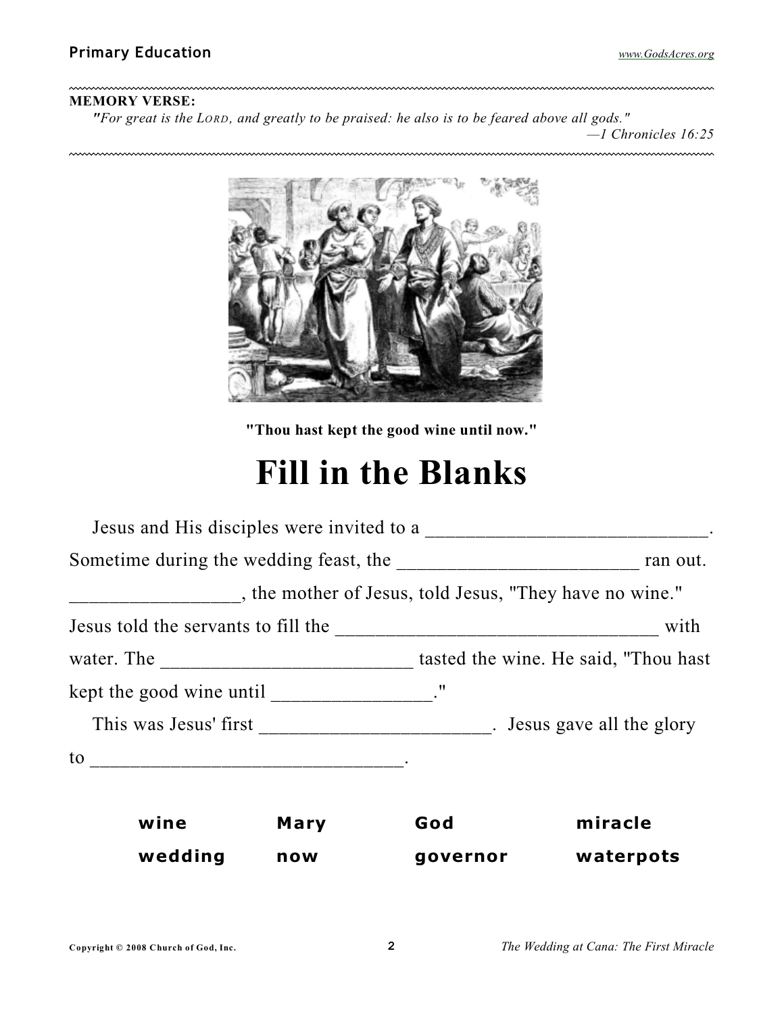$\ddotsc$ 

## **MEMORY VERSE:**

~~~~~~~~~~~~~~~~~~~

*"For great is the LORD, and greatly to be praised: he also is to be feared above all gods." —1 Chronicles 16:25*



**"Thou hast kept the good wine until now."**

# **Fill in the Blanks**

|                                                                                                                                                                                                                                                                                                                                                                                                            |      | , the mother of Jesus, told Jesus, "They have no wine." |           |  |
|------------------------------------------------------------------------------------------------------------------------------------------------------------------------------------------------------------------------------------------------------------------------------------------------------------------------------------------------------------------------------------------------------------|------|---------------------------------------------------------|-----------|--|
|                                                                                                                                                                                                                                                                                                                                                                                                            |      |                                                         | with      |  |
|                                                                                                                                                                                                                                                                                                                                                                                                            |      |                                                         |           |  |
| kept the good wine until $\frac{1}{\sqrt{1-\frac{1}{\sqrt{1-\frac{1}{\sqrt{1-\frac{1}{\sqrt{1-\frac{1}{\sqrt{1-\frac{1}{\sqrt{1-\frac{1}{\sqrt{1-\frac{1}{\sqrt{1-\frac{1}{\sqrt{1-\frac{1}{\sqrt{1-\frac{1}{\sqrt{1-\frac{1}{\sqrt{1-\frac{1}{\sqrt{1-\frac{1}{\sqrt{1-\frac{1}{\sqrt{1-\frac{1}{\sqrt{1-\frac{1}{\sqrt{1-\frac{1}{\sqrt{1-\frac{1}{\sqrt{1-\frac{1}{\sqrt{1-\frac{1}{\sqrt{1-\frac{1}{\$ |      |                                                         |           |  |
| This was Jesus' first the contract of the state of the state of the state of the state of the state of the state of the state of the state of the state of the state of the state of the state of the state of the state of th                                                                                                                                                                             |      |                                                         |           |  |
| $\frac{1}{2}$ to $\frac{1}{2}$ . The set of $\frac{1}{2}$ is the set of $\frac{1}{2}$ is the set of $\frac{1}{2}$ is the set of $\frac{1}{2}$ is the set of $\frac{1}{2}$ is the set of $\frac{1}{2}$ is the set of $\frac{1}{2}$ is the set of $\frac{1}{2}$ is the                                                                                                                                       |      |                                                         |           |  |
|                                                                                                                                                                                                                                                                                                                                                                                                            |      |                                                         |           |  |
| wine                                                                                                                                                                                                                                                                                                                                                                                                       | Mary | God                                                     | miracle   |  |
| wedding                                                                                                                                                                                                                                                                                                                                                                                                    | now  | governor                                                | waterpots |  |